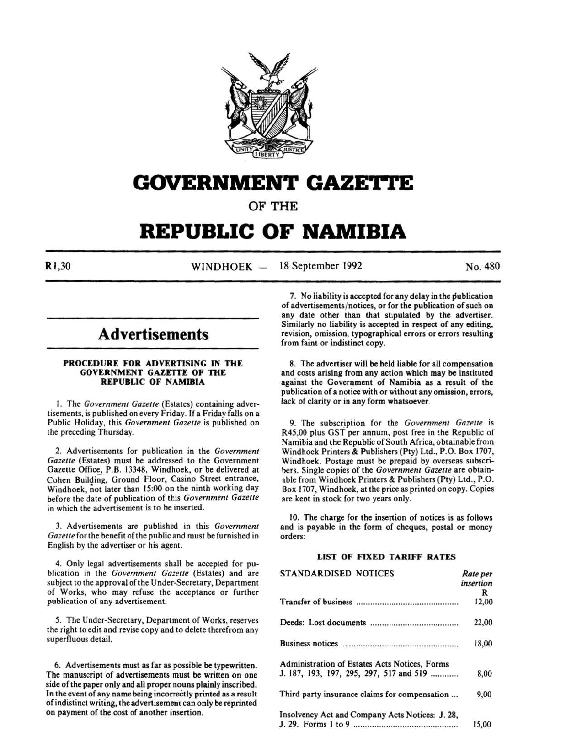

## **GOVERNMENT GAZETTE**

OF THE

# **REPUBLIC OF NAMIBIA**

 $\text{N}$ ,  $\text{N}$   $\text{N}$   $\text{N}$   $\text{N}$   $\text{N}$   $\text{N}$   $\text{N}$   $\text{N}$   $\text{N}$   $\text{N}$   $\text{N}$   $\text{N}$   $\text{N}$   $\text{N}$   $\text{N}$   $\text{N}$   $\text{N}$   $\text{N}$   $\text{N}$   $\text{N}$   $\text{N}$   $\text{N}$   $\text{N}$   $\text{N}$   $\text{N}$   $\text{N}$   $\text{$ 

## **Advertisements**

#### PROCEDURE FOR ADVERTISING IN THE GOVERNMENT GAZETTE OF THE REPUBLIC OF NAMIBIA

I. The *Government Gazelle* (Estates) containing advertisements, is published on every Friday. If a Friday falls on a Public Holiday, this *Government Gazelle* is published on the preceding Thursday.

2. Advertisements for publication in the *Government Gazette* (Estates) must be addressed to the Government Gazette Office, P.B. 13348, Windhoek, or be delivered at Cohen Building, Ground Floor, Casino Street entrance, Windhoek, not later than 15:00 on the ninth working day before the date of publication of this *Government Gazelle*  in which the advertisement is to be inserted.

3. Advertisements are published in this *Government Gazelle* for the benefit of the public and must be furnished in English by the advertiser or his agent.

4. Only legal advertisements shall be accepted for publication in the *Government Gazelle* (Estates) and are subject to the approval of the Under-Secretary, Department of Works, who may refuse the acceptance or further publication of any advertisement.

*5.* The Under-Secretary, Department of Works, reserves the right to edit and revise copy and to delete therefrom any superfluous detail.

6. Advertisements must as far as possible be typewritten. The manuscript of advertisements must be written on one side of the paper only and all proper nouns plainly inscribed. In the event of any name being incorrectly printed as a result of indistinct writing, the advertisement can only be reprinted on payment of the cost of another insertion.

7. No iiability is accepted for any delay in the publication of advertisements/ notices, or for the publication of such on any date other than that stipulated by the advertiser. Similarly no liability is accepted in respect of any editing, revision, omission, typographical errors or errors resulting from faint or indistinct copy.

8. The advertiser will be held liable for all compensation and costs arising from any action which may be instituted against the Government of Namibia as a result of the publication of a notice with or without any omission, errors, lack of clarity or in any form whatsoever.

9. The subscription for the *Government Gazette* is R45,00 plus GST per annum, post free in the Republic of Namibia and the Republic of South Africa, obtainable from Windhoek Printers & Publishers (Pty) Ltd., P.O. Box 1707, Windhoek. Postage must be prepaid by overseas subscribers. Single copies of the *Government Gazelle* are obtain able from Windhoek Printers & Publishers (Pty) Ltd., P.O. Box 1707, Windhoek, at the price as printed on copy. Copies are keot in stock for two years only.

10. The charge for the insertion of notices is as follows and is payable in the form of cheques, postal or money orders:

## LIST OF FIXED TARIFF RATES

| <b>STANDARDISED NOTICES</b>                     | Rate per<br>insertion |
|-------------------------------------------------|-----------------------|
|                                                 | R                     |
|                                                 | 12,00                 |
|                                                 | 22,00                 |
|                                                 | 18,00                 |
| Administration of Estates Acts Notices, Forms   |                       |
| J. 187, 193, 197, 295, 297, 517 and 519         | 8,00                  |
| Third party insurance claims for compensation   | 9,00                  |
| Insolvency Act and Company Acts Notices: J. 28, | 15.00                 |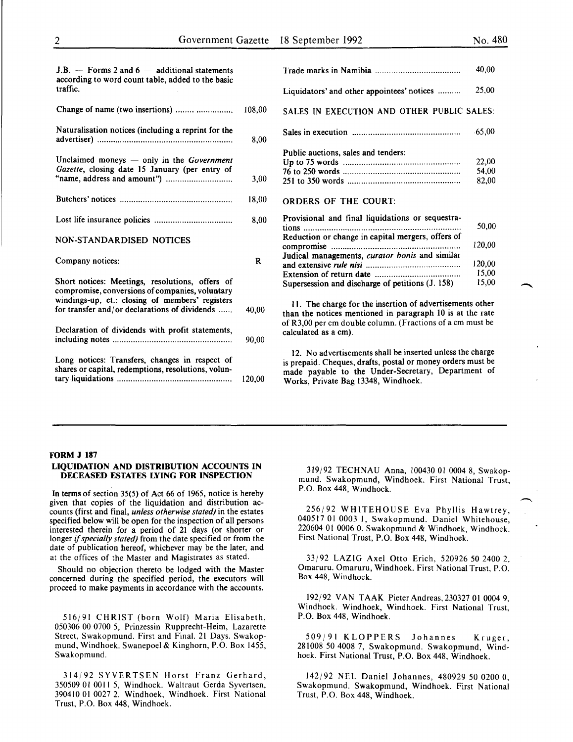15,00 15,00

| $J.B.$ — Forms 2 and 6 — additional statements<br>according to word count table, added to the basic   |          |                                                                                                                                                                                             |
|-------------------------------------------------------------------------------------------------------|----------|---------------------------------------------------------------------------------------------------------------------------------------------------------------------------------------------|
| traffic.                                                                                              |          | Liquidators' and other appointees' notices                                                                                                                                                  |
|                                                                                                       | 108,00   | SALES IN EXECUTION AND OTHER PUBLIC                                                                                                                                                         |
| Naturalisation notices (including a reprint for the                                                   | 8,00     |                                                                                                                                                                                             |
| Unclaimed moneys $-$ only in the Government<br>Gazette, closing date 15 January (per entry of         |          | Public auctions, sales and tenders:                                                                                                                                                         |
|                                                                                                       | 3,00     |                                                                                                                                                                                             |
|                                                                                                       | 18,00    | <b>ORDERS OF THE COURT:</b>                                                                                                                                                                 |
|                                                                                                       | 8,00     | Provisional and final liquidations or sequestra-<br>tions                                                                                                                                   |
| NON-STANDARDISED NOTICES                                                                              |          | Reduction or change in capital mergers, offers of                                                                                                                                           |
| Company notices:                                                                                      | $\bf{R}$ | Judical managements, curator bonis and similar                                                                                                                                              |
| Short notices: Meetings, resolutions, offers of<br>compromise, conversions of companies, voluntary    |          | Supersession and discharge of petitions $(J. 158)$                                                                                                                                          |
| windings-up, et.: closing of members' registers<br>for transfer and/or declarations of dividends      | 40.00    | 11. The charge for the insertion of advertisement<br>than the notices mentioned in paragraph 10 is a                                                                                        |
| Declaration of dividends with profit statements,                                                      | 90,00    | of R3,00 per cm double column. (Fractions of a cn<br>calculated as a cm).                                                                                                                   |
| Long notices: Transfers, changes in respect of<br>shares or capital, redemptions, resolutions, volun- | 120,00   | 12. No advertisements shall be inserted unless t<br>is prepaid. Cheques, drafts, postal or money order<br>made payable to the Under-Secretary, Depar<br>Works, Private Bag 13348, Windhoek. |
|                                                                                                       |          |                                                                                                                                                                                             |

|                                                   | 40,00                   |
|---------------------------------------------------|-------------------------|
| Liquidators' and other appointees' notices        | 25,00                   |
| SALES IN EXECUTION AND OTHER PUBLIC SALES:        |                         |
|                                                   | $-65,00$                |
| Public auctions, sales and tenders:               | 22,00<br>54.00<br>82,00 |
| ORDERS OF THE COURT:                              |                         |
| Provisional and final liquidations or sequestra-  | 50,00                   |
| Reduction or change in capital mergers, offers of | 120,00                  |
| Judical managements, curator bonis and similar    | 120,00                  |

The charge for the insertion of advertisements other he notices mentioned in paragraph 10 is at the rate 00 per cm double column. (Fractions of a cm must be ted as a cm).

No advertisements shall be inserted unless the charge aid. Cheques, drafts, postal or money orders must be payable to the Under-Secretary, Department of , Private Bag 13348, Windhoek.

#### FORM J 187

#### LIQUIDATION AND DISTRIBUTION ACCOUNTS IN DECEASED ESTATES LYING FOR INSPECTION

In terms of section 35(5) of Act 66 of 1965, notice is hereby given that copies of the liquidation and distribution accounts (first and final, *unless otherwise stated)* in the estates specified below will be open for the inspection of all persons interested therein for a period of 21 days (or shorter or longer if *specially stated)* from the date specified or from the date of publication hereof, whichever may be the later, and at the offices of the Master and Magistrates as stated.

Should no objection thereto be lodged with the Master concerned during the specified period, the executors will proceed to make payments in accordance with the accounts.

516/91 CHRIST (born Wolf) Maria Elisabeth, 050306 00 0700 5, Prinzessin Rupprecht-Heim, Lazarette Street, Swakopmund. First and Final. 21 Days. Swakopmund, Windhoek. Swanepoel & Kinghorn, P.O. Box 1455, Swakopmund.

314/92 SYVERTSEN Horst Franz Gerhard, 350509 01 0011 5, Windhoek. Waltraut Gerda Syvertsen, 390410 01 0027 2. Windhoek, Windhoek. First National Trust, P.O. Box 448, Windhoek.

319/92 TECHNAU Anna, 100430 01 0004 8, Swakopmund. Swakopmund, Windhoek. First National Trust, P.O. Box 448, Windhoek.

256/92 WHITEHOUSE Eva Phyllis Hawtrey, 040517 01 0003 1, Swakopmund. Daniel Whitehouse, 220604 01 0006 0. Swakopmund & Windhoek, Windhoek. First National Trust, P.O. Box 448, Windhoek.

33/92 LAZIG Axel Otto Erich, 520926 50 2400 2, Omaruru. Omaruru, Windhoek. First National Trust, P.O. Box 448, Windhoek.

192/92 VAN TAAK PieterAndreas,230327 01 0004 9, Windhoek. Windhoek, Windhoek. First National Trust, P.O. Box 448, Windhoek.

509/91 KLOPPERS Johannes Kruger, 281008 50 4008 7, Swakopmund. Swakopmund, Windhoek. First National Trust, P.O. Box 448, Windhoek.

142/92 NEL Daniel Johannes, 480929 50 0200 0, Swakopmund. Swakopmund, Windhoek. First National Trust, P.O. Box 448, Windhoek.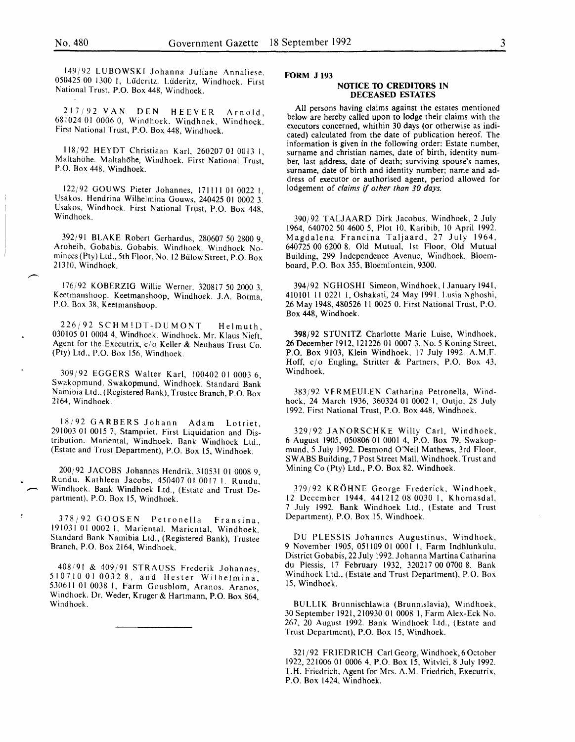149/92 LUBOWSKI Johanna Juliane Annaliese. 050425 00 1300 I, Liideritz. Liideritz, Windhoek. First National Trust, P.O. Box 448, Windhoek.

217;92 VAN DEN HEEVER Arnold, 681024 01 0006 0, Windhoek. Windhoek, Windhoek. First National Trust, P.O. Box 448, Windhoek.

118/92 HEYDT Christiaan Karl, 260207 01 0013 1, Maltahöhe. Maltahöhe, Windhoek. First National Trust, P.O. Box 448, Windhoek.

122/92 GOUWS Pieter Johannes, 171111 01 0022 1, Usakos. Hendrina Wilhelmina Gouws, 240425 01 0002 3. Usakos, Windhoek. First National Trust, P.O. Box 448, Windhoek.

392/91 BLAKE Robert Gerhardus, 280607 50 2800 9, Aroheib, Gobabis. Gobabis, Windhoek. Windhoek Nominees (Pty) Ltd., 5th Floor, No. 12 Bulow Street, P.O. Box 21310, Windhoek.

176/92 KOBERZIG Willie Werner, 320817 50 2000 3, Keetmanshoop. Keetmanshoop, Windhoek. J.A. Borma, P.O. Box 38, Keetmanshoop.

226j92 SCHMIDT-DUMONT Helmuth 030105 01 0004 4, Windhoek. Windhoek. Mr. Klaus Nieft: Agent for the Executrix, c/o Keller & Neuhaus Trust Co. (Pty) Ltd., P.O. Box 156, Windhoek.

309/92 EGGERS Walter Karl, 100402 01 0003 6, Swakopmund. Swakopmund, Windhoek. Standard Bank Namibia Ltd., (Registered Bank), Trustee Branch, P.O. Box 2164, Windhoek.

18/92 GARBERS Johann Adam Lotriet 291003 01 0015 7, Stampriet. First Liquidation and Distribution. Mariental, Windhoek. Bank Windhoek Ltd., (Estate and Trust Department), P.O. Box 15, Windhoek.

200/92 JACOBS Johannes Hendrik, 310531 01 0008 9, Rundu. Kathleen Jacobs, 450407 01 0017 I. Rundu, Windhoek. Bank Windhoek Ltd., (Estate and Trust Department), P.O. Box 15, Windhoek.

378/92 GOOSEN Petronella Fransina 191031 01 0002 1, Mariental. Mariental, Windhoek. Standard Bank Namibia Ltd., (Registered Bank), Trustee Branch, P.O. Box 2164, Windhoek.

408/91 & 409/91 STRAUSS Frederik Johannes 510710 010032 8, and Hester Wilhelmina' 530611 01 0038 1, Farm Gousblom, Aranos. Aranos, Windhoek. Dr. Weder, Kruger & Hartmann, P.O. Box 864, Windhoek.

#### **FORM J 193**

#### **NOTICE TO CREDITORS IN DECEASED ESTATES**

All persons having claims against the estates mentioned below are hereby called upon to lodge their claims with the executors concerned, whithin 30 days (or otherwise as indicated) calculated from the date of publication hereof. The information is given in the following order: Estate number, surname and christian names, date of birth, identity number, last address, date of death; surviving spouse's names, surname, date of birth and identity number; name and address of executor or authorised agent, period allowed for lodgement of *claims* if *other than 30 days.* 

390/92 TALJAARD Dirk Jacobus, Windhoek, 2 July 1964, 640702 50 4600 5, Plot 10, Karibib, 10 April 1992. Magdalena Francina Taljaard, 27 July 1964, 640725 00 6200 8. Old Mutual, 1st Floor, Old Mutual Building, 299 Independence Avenue, Windhoek. Bloemboard, P.O. Box 355, Bloemfontein, 9300.

394/92 NGHOSHI Simeon, Windhoek, I January 1941, 410101 II 0221 I, Oshakati, 24 May 1991. Lusia Nghoshi, 26 May 1948,480526 II 0025 0. First National Trust, P.O. Box 448, Windhoek.

398/92 STUNITZ Charlotte Marie Luise, Windhoek, 26 December 1912, 121226 OJ 0007 3, No.5 Koning Street, P.O. Box 9103, Klein Windhoek, 17 July 1992. A.M.F. Hoff, c/o Engling, Stritter & Partners, P.O. Box 43, Windhoek.

383/92 VERMEULEN Catharina Petronella, Windhoek, 24 March 1936, 360324 01 0002 I, Outjo, 28 July 1992. First National Trust, P.O. Box 448, Windhoek.

329/92 JANORSCHKE Willy Carl, Windhoek, 6 August 1905, 050806 01 0001 4, P.O. Box 79, Swakopmund, 5 July 1992. Desmond O'Neil Mathews, 3rd Floor, SWABS Building, 7 Post Street Mall, Windhoek. Trust and Mining Co (Pty) Ltd., P.O. Box 82. Windhoek.

379/92 KROHNE George Frederick, Windhoek, 12 December 1944, 441212 08 0030 I, Khomasdal, 7 July 1992. Bank Windhoek Ltd., (Estate and Trust Department), P.O. Box 15, Windhoek.

DU PLESSIS Johannes Augustinus, Windhoek, 9 November 1905, 051109 01 0001 I, Farm Indhlunkulu, District Gobabis, 22 July 1992. Johanna Martina Catharina du Plessis, 17 February 1932, 320217 00 0700 8. Bank Windhoek Ltd., (Estate and Trust Department), P.O. Box 15, Windhoek.

BU LLIK Brunnischlawia (Brunnislavia), Windhoek, 30 September 1921,210930 OJ 0008 I, Farm Alex-Eck No. 267, 20 August 1992. Bank Windhoek Ltd., (Estate and Trust Department), P.O. Box 15, Windhoek.

321/92 FRIEDRICH Carl Georg, Windhoek,60ctober 1922,221006 01 0006 4, P.O. Box 15, Witvlei, 8 July 1992. T.H. Friedrich, Agent for Mrs. A.M. Friedrich, Executrix, P.O. Box 1424, Windhoek.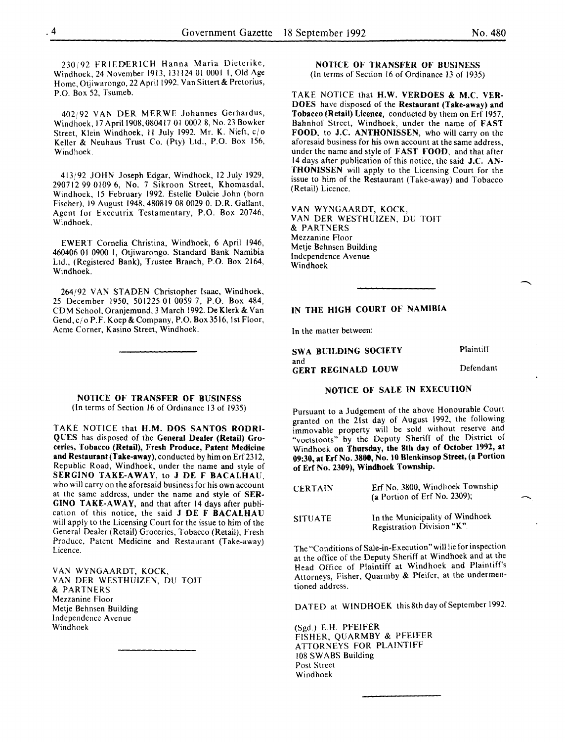230/92 FRIEDERICH Hanna Maria Dieterike, Windhoek 24 November 1913, 131124 01 0001 I, Old Age Home, Otijwarongo, 22 April 1992. Van Sittert & Pretorius, P.O. Box 52, Tsumeb.

402192 VAN DER MERWE Johannes Gerhardus, Windhoek, 17 April 1908, 080417 01 0002 8, No. 23 Bowker Street, Klein Windhoek, II July 1992. Mr. K. Nieft, c/o Keller & Neuhaus Trust Co. (Pty) Ltd., P.O. Box 156, Windhoek.

413/92 JOHN Joseph Edgar, Windhoek, 12 July 1929, 290712 99 0109 6, No. 7 Sikroon Street, Khomasdal, Windhoek, 15 February 1992. Estelle Dulcie John (born Fischer), 19 August 1948,480819 08 0029 0. D.R. Gallant, Agent for Executrix Testamentary, P.O. Box 20746, Windhoek.

EWERT Cornelia Christina, Windhoek, 6 April 1946, 460406 01 0900 1, Otjiwarongo. Standard Bank Namibia Ltd., (Registered Bank), Trustee Branch, P.O. Box 2164, Windhoek.

264/92 VAN STADEN Christopher Isaac, Windhoek, 25 December 1950, 501225 01 0059 7, P.O. Box 484, CD M School, Oranjemund, 3 March 1992. De Klerk & Van Gend, c/o P.F. Koep & Company, P.O. Box 3516, 1st Floor, Acme Corner, Kasino Street, Windhoek.

NOTICE OF TRANSFER OF BUSINESS (In terms of Section 16 of Ordinance 13 of 1935)

TAKE NOTICE that H.M. DOS SANTOS RODRI-QUES has disposed of the General Dealer (Retail) Groceries, Tobacco (Retail), Fresh Produce, Patent Medicine and Restaurant (Take-away), conducted by him on Erf 2312, Republic Road, Windhoek, under the name and style of SERGINO TAKE-AWAY, to J DE F BACALHAU, who will carry on the aforesaid business for his own account at the same address, under the name and style of SER-GINO TAKE-AWAY, and that after 14 days after publication of this notice, the said J DE F BACALHAU will apply to the Licensing Court for the issue to him of the General Dealer (Retail) Groceries, Tobacco (Retail), Fresh Produce, Patent Medicine and Restaurant (Take-away) Licence.

VAN WYNGAARDT, KOCK, VAN DER WESTHUIZEN, DU TOIT & PARTNERS Mezzanine Floor Metje Behnsen Building Independence Avenue Windhoek

#### NOTICE OF TRANSFER OF BUSINESS (In terms of Section 16 of Ordinance 13 of 1935)

TAKE NOTICE that H.W. VERDOES & M.C. VER-DOES have disposed of the Restaurant (Take-away) and Tobacco (Retail) Licence, conducted by them on Erf 1957, Bahnhof Street, Windhoek, under the name of FAST FOOD, to J.C. ANTHONISSEN, who will carry on the aforesaid business for his own account at the same address, under the name and style of FAST FOOD, and that after 14 days after publication of this notice, the said J.C. AN-THONISSEN will apply to the Licensing Court for the issue to him of the Restaurant (Take-away) and Tobacco (Retail) Licence.

VAN WYNGAARDT, KOCK, VAN DER WESTHUIZEN, DU TOIT & PARTNERS Mezzanine Floor Metje Behnsen Building Independence Avenue Windhoek

## IN THE HIGH COURT OF NAMIBIA

In the matter between:

SWA BUILDING SOCIETY and GERT REGINALD LOUW Plaintiff Defendant

## NOTICE OF SALE IN EXECUTION

Pursuant to a Judgement of the above Honourable Court granted on the 21st day of August 1992, the following immovable property will be sold without reserve and "voetstoots" by the Deputy Sheriff of the District of Windhoek on Thursday, the 8th day of October 1992, at 09:30, at Erf No. 3800, No. 10 Blenkinsop Street, (a Portion of Erf No. 2309), Windhoek Township.

| CERTAIN | Erf No. 3800, Windhoek Township<br>(a Portion of Erf No. 2309); |
|---------|-----------------------------------------------------------------|
|         |                                                                 |

SITUATE In the Municipality of Windhoek Registration Division "K".

The "Conditions of Sale-in-Execution" will lie for inspection at the office of the Deputy Sheriff at Windhoek and at the Head Office of Plaintiff at Windhoek and Plaintiff's Attorneys, Fisher, Quarmby & Pfeifer, at the undermentioned address.

DATED at WINDHOEK this 8th day of September 1992.

(Sgd.) E.H. PFEIFER FISHER, QUARMBY & PFEIFER ATTORNEYS FOR PLAINTIFF 108 SWABS Building Post Street Windhoek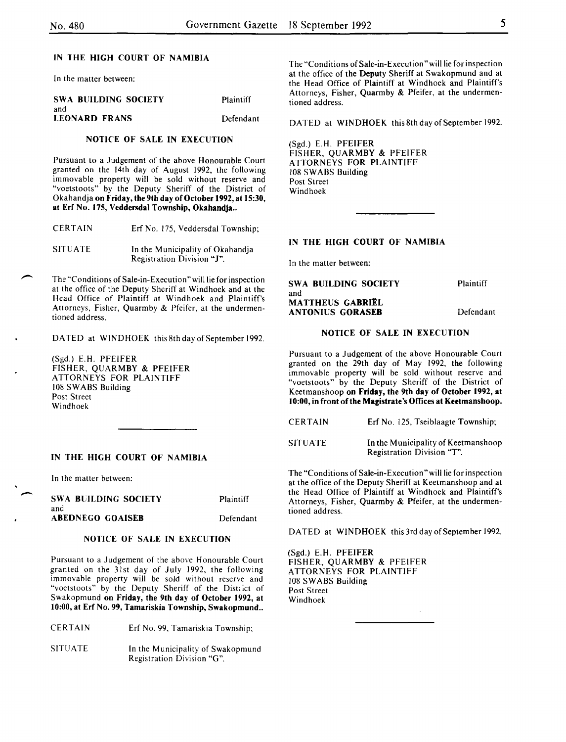In the matter between:

| <b>SWA BUILDING SOCIETY</b> | Plaintiff |
|-----------------------------|-----------|
| and                         |           |
| <b>LEONARD FRANS</b>        | Defendant |

#### NOTICE OF SALE IN EXECUTION

Pursuant to a Judgement of the above Honourable Court granted on the 14th day of August 1992, the following immovable property will be sold without reserve and "voetstoots" by the Deputy Sheriff of the District of Okahandja on Friday, the 9th day of October 1992, at 15:30, at Erf No. 175, Veddersdal Township, Okahandja ..

| CERTAIN |  | Erf No. 175, Veddersdal Township; |  |
|---------|--|-----------------------------------|--|
|         |  |                                   |  |

SITUATE In the Municipality of Okahandja Registration Division "1".

The "Conditions of Sale-in-Execution" will lie for inspection at the office of the Deputy Sheriff at Windhoek and at the Head Office of Plaintiff at Windhoek and Plaintiff's Attorneys, Fisher, Quarmby & Pfeifer, at the undermentioned address.

DATED at WINDHOEK this 8th day of September 1992.

(Sgd.) E.H. PFEIFER FISHER, QUARMBY & PFEIFER ATTORNEYS FOR PLAINTIFF 108 SWABS Building Post Street Windhoek

#### IN THE HIGH COURT OF NAMIBIA

In the matter between:

 $\overline{\phantom{0}}$ 

| SWA BUILDING SOCIETY | Plaintiff |
|----------------------|-----------|
| and                  |           |
| ABEDNEGO GOAISEB     | Defendant |

#### NOTICE OF SALE IN EXECUTION

Pursuant to a Judgement of the above Honourable Court granted on the 31st day of July 1992, the following immovable property will be sold without reserve and "voetstoots" by the Deputy Sheriff of the District of Swakopmund on Friday, the 9th day of October 1992, at 10:00, at Erf No. 99, Tamariskia Township, Swakopmund ..

CERTAIN Erf No. 99, Tamariskia Township;

SITUATE In the Municipality of Swakopmund Registration Division "G".

The "Conditions of Sale-in-Execution" will lie for inspection at the office of the Deputy Sheriff at Swakopmund and at the Head Office of Plaintiff at Windhoek and Plaintiff's Attorneys, Fisher, Quarmby & Pfeifer, at the undermentioned address.

DATED at WINDHOEK this 8th day of September 1992.

(Sgd.) E.H. PFEIFER FISHER, QUARMBY & PFEIFER ATTORNEYS FOR PLAINTIFF 108 SWABS Building Post Street Windhoek

## IN THE HIGH COURT OF NAMIBIA

In the matter between:

SWA BUILDING SOCIETY and **MATTHEUS GABRIEL** ANTONIUS GORASEB Plaintiff Defendant

#### NOTICE OF SALE IN EXECUTION

Pursuant to a Judgement of the above Honourable Court granted on the 29th day of May 1992, the following immovable property will be sold without reserve and "voetstoots" by the Deputy Sheriff of the District of Keetmanshoop on Friday, the 9th day of October 1992, at 10:00, in front of the Magistrate's Offices at Keetmanshoop.

| CERTAIN |  | Erf No. 125, Tseiblaagte Township; |  |
|---------|--|------------------------------------|--|
|         |  |                                    |  |

SITUATE In the Municipality of Keetmanshoop Registration Division "T".

The "Conditions of Sale-in-Execution" will lie for inspection at the office of the Deputy Sheriff at Keetmanshoop and at the Head Office of Plaintiff at Windhoek and Plaintiff's Attorneys, Fisher, Quarmby & Pfeifer, at the undermentioned address.

DATED at WINDHOEK this 3rd day of September 1992.

(Sgd.) E.H. PFEIFER FISHER, QUARMBY & PFEIFER ATTORNEYS FOR PLAINTIFF 108 SWABS Building Post Street Windhoek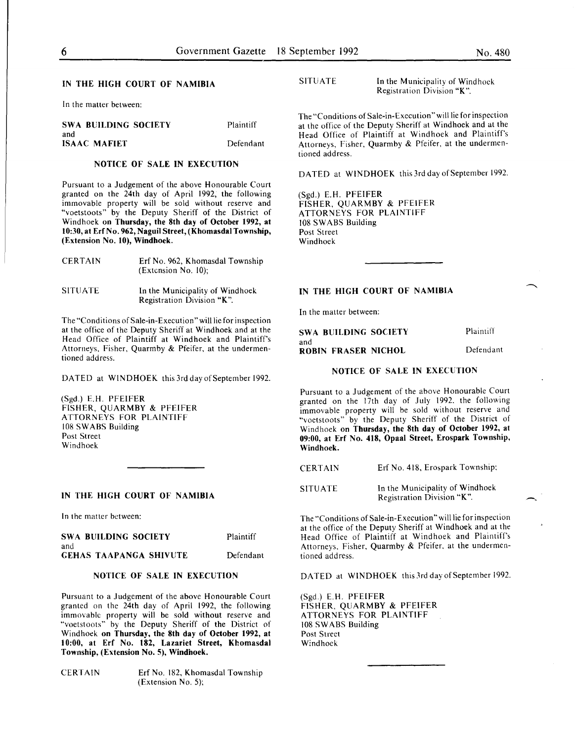In the matter between:

| <b>SWA BUILDING SOCIETY</b> | Plaintiff |
|-----------------------------|-----------|
| and                         |           |
| <b>ISAAC MAFIET</b>         | Defendant |

## NOTICE OF SALE IN EXECUTION

Pursuant to a Judgement of the above Honourable Court granted on the 24th day of April 1992, the following immovable property will be sold without reserve and "voetstoots" by the Deputy Sheriff of the District of Windhoek on Thursday, the 8th day of October 1992, at 10:30, at Erf No. 962, Naguil Street, (Khomasdal Township, (Extension No. 10), Windhoek.

| <b>CERTAIN</b> | Erf No. 962, Khomasdal Township<br>(Extension No. 10): |
|----------------|--------------------------------------------------------|
| <b>SITUATE</b> | In the Municipality of Windhoek                        |

Registration Division "K".

The "Conditions of Sale-in-Execution" will lie for inspection at the office of the Deputy Sheriff at Windhoek and at the Head Office of Plaintiff at Windhoek and Plaintiff's Attorneys, Fisher, Quarmby & Pfeifer, at the undermentioned address.

DATED at WINDHOEK this 3rd day of September 1992.

(Sgd.) E.H. PFEIFER FISHER, QUARMBY & PFEIFER ATTORNEYS FOR PLAINTIFF 108 SWABS Building Post Street Windhoek

#### IN THE HIGH COURT OF NAMIBIA

In the matter between:

| SWA BUILDING SOCIETY   | Plaintiff |
|------------------------|-----------|
| and                    |           |
| GEHAS TAAPANGA SHIVUTE | Defendant |

#### NOTICE OF SALE IN EXECUTION

Pursuant to a Judgement of the above Honourable Court granted on the 24th day of April 1992, the following immovable property will be sold without reserve and "voetstoots" by the Deputy Sheriff of the District of Windhoek on Thursday, the 8th day of October 1992, at 10:00, at Erf No. 182, Lazariet Street, Khomasdal Township, (Extension No. 5), Windhoek.

CERTAIN Erf No. 182, Khomasdal Township (Extension No. 5);

SITUATE In the Municipality of Windhoek Registration Division "K".

The "Conditions of Sale-in-Execution" will lie for inspection at the office of the Deputy Sheriff at Windhoek and at the Head Office of Plaintiff at Windhoek and Plaintiff's Attorneys, Fisher, Quarmby & Pfeifer, at the undermentioned address.

DATED at WINDHOEK this 3rd day of September 1992.

(Sgd.) E.H. PFEIFER FISHER, QUARMBY & PFEIFER ATTORNEYS FOR PLAINTIFF 108 SWABS Building Post Street Windhoek

#### IN THE HIGH COURT OF NAMIBIA

In the matter between:

| <b>SWA BUILDING SOCIETY</b> | Plaintiff |
|-----------------------------|-----------|
| and                         |           |
| ROBIN FRASER NICHOL         | Defendant |

#### NOTICE OF SALE IN EXECUTION

Pursuant to a Judgement of the above Honourable Court granted on the 17th day of July 1992. the following immovable property will be sold without reserve and "voetstoots" by the Deputy Sheriff of the District of Windhoek on Thursday, the 8th day of October 1992, at 09:00, at Erf No. 418, Opaal Street, Erospark Township, Windhoek.

| <b>CERTAIN</b> | Erf No. 418, Erospark Township;                               |
|----------------|---------------------------------------------------------------|
| <b>SITUATE</b> | In the Municipality of Windhoek<br>Registration Division "K". |

The "Conditions of Sale-in-Execution" will lie for inspection at the office of the Deputy Sheriff at Windhoek and at the Head Office of Plaintiff at Windhoek and Plaintiff's Attorneys, Fisher, Quarmby & Pfeifer, at the undermentioned address.

DATED at WINDHOEK this 3rd day of September 1992.

(Sgd.) E.H. PFEIFER FISHER, QUARMBY & PFEIFER ATTORNEYS FOR PLAINTIFF 108 SWABS Building Post Street Windhoek

-.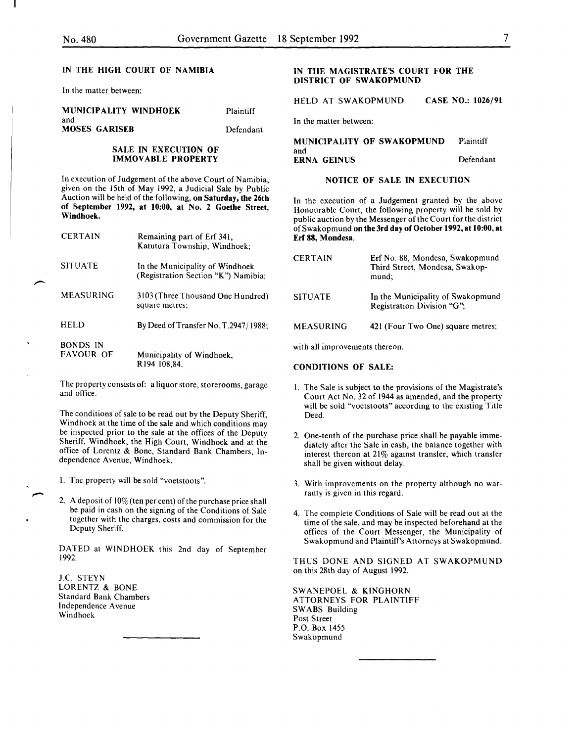In the matter between:

#### MUNICIPALITY WINDHOEK and

MOSES GARISEB

Plaintiff

Defendant

#### SALE IN EXECUTION OF IMMOVABLE PROPERTY

In execution of Judgement of the above Court of Namibia, given on the 15th of May 1992, a Judicial Sale by Public Auction will be held of the following, on Saturday, the 26th of September 1992, at 10:00, at No. 2 Goethe Street, Windhoek.

| <b>CERTAIN</b>               | Remaining part of Erf 341,<br>Katutura Township, Windhoek;             |
|------------------------------|------------------------------------------------------------------------|
| <b>SITUATE</b>               | In the Municipality of Windhoek<br>(Registration Section "K") Namibia; |
| <b>MEASURING</b>             | 3103 (Three Thousand One Hundred)<br>square metres:                    |
| HELD                         | By Deed of Transfer No. T.2947/1988;                                   |
| BONDS IN<br><b>FAVOUR OF</b> | Municipality of Windhoek,<br>R194 108,84.                              |

The property consists of: a liquor store, storerooms, garage and office.

The conditions of sale to be read out by the Deputy Sheriff, Windhoek at the time of the sale and which conditions may be inspected prior to the sale at the offices of the Deputy Sheriff, Windhoek, the High Court, Windhoek and at the office of Lorentz & Bone, Standard Bank Chambers, Independence Avenue, Windhoek.

I. The property will be sold "voetstoots".

2. A deposit of  $10\%$  (ten per cent) of the purchase price shall be paid in cash on the signing of the Conditions of Sale together with the charges, costs and commission for the Deputy Sheriff.

DATED at WINDHOEK this 2nd day of September 1992.

J.C. STEYN LORENTZ & BONE Standard Bank Chambers Independence A venue Windhoek

#### IN THE MAGISTRATE'S COURT FOR THE DISTRICT OF SWAKOPMUND

HELD AT SWAKOPMUND CASE NO.: 1026/91

In the matter between:

MUNICIPALITY OF SWAKOPMUND Plaintiff and ERNA GEINUS Defendant

## NOTICE OF SALE IN EXECUTION

In the execution of a Judgement granted by the above Honourable Court, the following property will be sold by public auction by the Messenger of the Court for the district of Swakopmund on the 3rd day of October 1992, at 10:00, at Erf 88, Mondesa.

| <b>CERTAIN</b>   | Erf No. 88, Mondesa, Swakopmund<br>Third Street, Mondesa, Swakop-<br>mund: |
|------------------|----------------------------------------------------------------------------|
| <b>SITUATE</b>   | In the Municipality of Swakopmund<br>Registration Division "G";            |
| <b>MEASURING</b> | 421 (Four Two One) square metres;                                          |

with all improvements thereon.

CONDITIONS OF SALE:

- I. The Sale is subject to the provisions of the Magistrate's Court Act No. 32 of 1944 as amended, and the property will be sold "voetstoots" according to the existing Title Deed.
- 2. One-tenth of the purchase price shall be payable immediately after the Sale in cash, the balance together with interest thereon at 21% against transfer, which transfer shall be given without delay.
- 3. With improvements on the property although no warranty is given in this regard.
- 4. The complete Conditions of Sale will be read out at the time of the sale, and may be inspected beforehand at the offices of the Court Messenger, the Municipality of Swakopmund and Plaintiff's Attorneys at Swakopmund.

THUS DONE AND SIGNED AT SWAKOPMUND on this 28th day of August 1992.

SWANEPOEL & KINGHORN ATTORNEYS FOR PLAINTIFF SWABS Building Post Street P.O. Box 1455 Swakopmund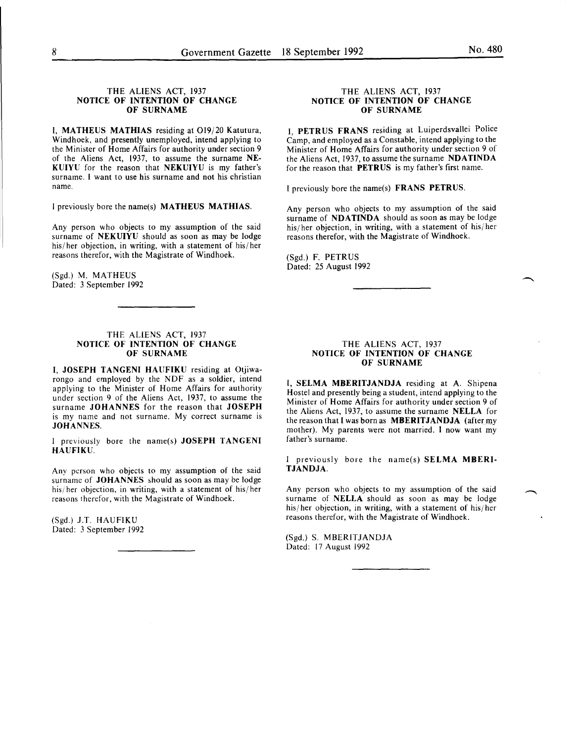#### THE ALIENS ACT, 1937 NOTICE OF INTENTION OF CHANGE OF SURNAME

I, MATHEUS MATHIAS residing at 019/20 Katutura, Windhoek, and presently unemployed, intend applying to the Minister of Home Affairs for authority under section 9 of the Aliens Act, 1937, to assume the surname NE-KUIYU for the reason that NEKUIYU is my father's surname. I want to use his surname and not his christian name.

I previously bore the name(s) MATHEUS MATHIAS.

Any person who objects to my assumption of the said surname of NEKUIYU should as soon as may be lodge his/ her objection, in writing, with a statement of his/ her reasons therefor, with the Magistrate of Windhoek.

(Sgd.) M. MATHEUS Dated: 3 September 1992

#### THE ALIENS ACT, 1937 NOTICE OF INTENTION OF CHANGE OF SURNAME

I, JOSEPH TANGENI HAUFIKU residing at Otjiwarongo and employed by the NDF as a soldier, intend applying to the Minister of Home Affairs for authority under section 9 of the Aliens Act, 1937, to assume the surname JOHANNES for the reason that JOSEPH is my name and not surname. My correct surname is JOHANNES.

I previously bore the name(s) JOSEPH TANGENI HAUFIKU.

Any person who objects to my assumption of the said surname of JOHANNES should as soon as may be lodge his/her objection, in writing, with a statement of his/her reasons therefor, with the Magistrate of Windhoek.

(Sgd.) J.T. HAUFIKU Dated: 3 September 1992

#### THE ALIENS ACT, 1937 NOTICE OF INTENTION OF CHANGE OF SURNAME

I, PETRUS FRANS residing at Luiperdsvallei Police Camp, and employed as a Constable, intend applying to the Minister of Home Affairs for authority under section 9 of the Aliens Act, 1937, to assume the surname NDATINDA for the reason that PETRUS is my father's first name.

I previously bore the name(s) FRANS PETRUS.

Any person who objects to my assumption of the said surname of NDATINDA should as soon as may be lodge his/ her objection, in writing, with a statement of his/ her reasons therefor, with the Magistrate of Windhoek.

(Sgd.) F. PETRUS Dated: 25 August 1992

#### THE ALIENS ACT, 1937 NOTICE OF INTENTION OF CHANGE OF SURNAME

I, SELMA MBERITJANDJA residing at A. Shipena Hostel and presently being a student, intend applying to the Minister of Home Affairs for authority under section 9 of the Aliens Act, 1937, to assume the surname NELLA for the reason that I was born as MBERITJANDJA (after my mother). My parents were not married. I now want my father's surname.

I previously bore the name(s) SELMA MBERI-TJANDJA.

Any person who objects to my assumption of the said surname of **NELLA** should as soon as may be lodge his/ her objection, in writing, with a statement of his/ her reasons therefor, with the Magistrate of Windhoek.

(Sgd.) S. MBERITJANDJA Dated: 17 August 1992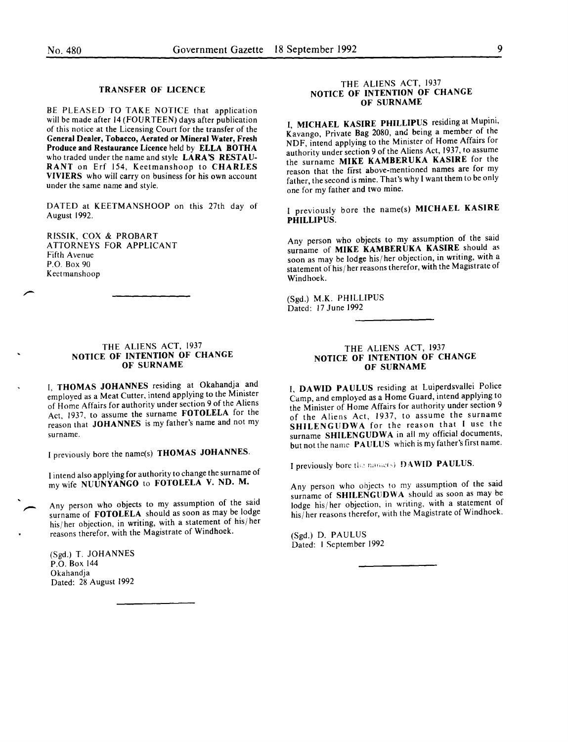#### TRANSFER OF LICENCE

BE PLEASED TO TAKE NOTICE that application will be made after 14 (FOURTEEN) days after publication of this notice at the Licensing Court for the transfer of the General Dealer, Tobacco, Aerated or Mineral Water, Fresh Produce and Restaurance Licence held by ELLA BOTHA who traded under the name and style LARA'S RESTAU-RANT on Erf 154, Keetmanshoop to CHARLES VIVIERS who will carry on business for his own account under the same name and style.

DATED at KEETMANSHOOP on this 27th day of August 1992.

RISSIK, COX & PROBART ATTORNEYS FOR APPLICANT Fifth Avenue P.O. Box 90 Keetmanshoop

#### THE ALIENS ACT, 1937 NOTICE OF INTENTION OF CHANGE OF SURNAME

I, THOMAS JOHANNES residing at Okahandja and employed as a Meat Cutter, intend applying to the Minister of Home Affairs for authority under section 9 of the Aliens Act, 1937, to assume the surname FOTOLELA for the reason that JOHANNES is my father's name and not my surname.

I previously bore the name(s) THOMAS JOHANNES.

I intend also applying for authority to change the surname of my wife NUUNYANGO to FOTOLELA V. ND. M.

Any person who objects to my assumption of the said surname of FOTOLELA should as soon as may be lodge his/ her objection, in writing, with a statement of his/ her reasons therefor, with the Magistrate of Windhoek.

(Sgd.) T. JOHANNES P.O. Box 144 Okahandja Dated: 28 August 1992

#### THE ALIENS ACT, 1937 NOTICE OF INTENTION OF CHANGE OF SURNAME

I, MICHAEL KASIRE PHILLIPUS residing at Mupini, Kavango, Private Bag 2080, and being a member of the NDF, intend applying to the Minister of Home Affairs for authority under section 9 of the Aliens Act, 1937, to assume the surname MIKE KAMBERUKA KASIRE for the reason that the first above-mentioned names are for my father, the second is mine. That's why I want them to be only one for my father and two mine.

I previously bore the name(s) MICHAEL KASIRE PHILLIPUS.

Any person who objects to my assumption of the said surname of MIKE KAMBERUKA KASIRE should as soon as may be lodge his/ her objection, in writing, with a statement of his/ her reasons therefor, with the Magistrate of Windhoek.

(Sgd.) M.K. PHILLIPUS Dated: 17 June 1992

#### THE ALIENS ACT, 1937 NOTICE OF INTENTION OF CHANGE OF SURNAME

I. DA WID PAULUS residing at Luiperdsvallei Police Camp, and employed as a Home Guard, intend applying to the Minister of Home Affairs for authority under section 9 of the Aliens Act, 1937, to assume the surname SHILENGUDWA for the reason that I use the surname SHILENGUDWA in all my official documents, but not the name PAULUS which is my father's first name.

I previously bore the name(s) DAWID PAULUS.

Any person who objects to my assumption of the said surname of SHILENGUDWA should as soon as may be lodge his/ her objection, in writing, with a statement of his/ her reasons therefor, with the Magistrate of Windhoek.

(Sgd.) D. PAULUS Dated: I September 1992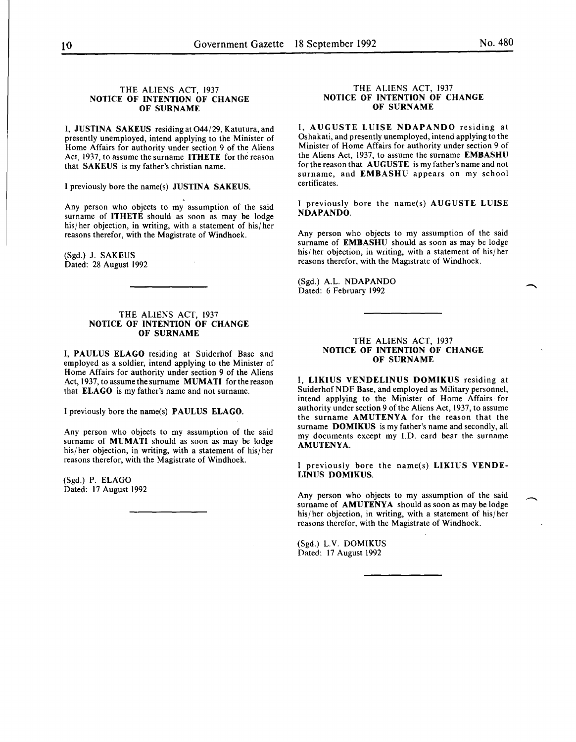#### THE ALIENS ACT, 1937 NOTICE OF INTENTION OF CHANGE OF SURNAME

I, JUSTINA SAKEUS residingat044/29, Katutura,and presently unemployed, intend applying to the Minister of Home Affairs for authority under section 9 of the Aliens Act, 1937, to assume the surname ITHETE for the reason that SAKEUS is my father's christian name.

I previously bore the name(s) JUSTINA SAKEUS .

. Any person who objects to my assumption of the said surname of ITHETE should as soon as may be lodge his/her objection, in writing, with a statement of his/her reasons therefor, with the Magistrate of Windhoek.

(Sgd.) J. SAKEUS Dated: 28 August 1992

#### THE ALIENS ACT, 1937 NOTICE OF INTENTION OF CHANGE OF SURNAME

I, PAULUS ELAGO residing at Suiderhof Base and employed as a soldier, intend applying to the Minister of Home Affairs for authority under section 9 of the Aliens Act, 1937, to assume the surname MUMATI for the reason that ELAGO is my father's name and not surname.

I previously bore the name(s) PAULUS ELAGO.

Any person who objects to my assumption of the said surname of MUMATI should as soon as may be lodge his/her objection, in writing, with a statement of his/her reasons therefor, with the Magistrate of Windhoek.

(Sgd.) P. ELAGO Dated: 17 August 1992

#### THE ALIENS ACT, 1937 NOTICE OF INTENTION OF CHANGE OF SURNAME

I, AUGUSTE LUISE NDAPANDO residing at Oshakati, and presently unemployed, intend applying to the Minister of Home Affairs for authority under section 9 of the Aliens Act, 1937, to assume the surname EMBASHU for the reason that AUGUSTE is my father's name and not surname, and EMBASHU appears on my school certificates.

I previously bore the name(s) AUGUSTE LUISE NDAPANDO.

Any person who objects to my assumption of the said surname of EMBASHU should as soon as may be lodge his/ her objection, in writing, with a statement of his/ her reasons therefor, with the Magistrate of Windhoek.

(Sgd.) A.L. NDAPANDO Dated: 6 February 1992

#### THE ALIENS ACT, 1937 NOTICE OF INTENTION OF CHANGE OF SURNAME

I, LIKIUS VENDELINUS DOMIKUS residing at Suiderhof NDF Base, and employed as Military personnel, intend applying to the Minister of Home Affairs for authority under section 9 of the Aliens Act, 1937, to assume the surname AMUTENYA for the reason that the surname DOMIKUS is my father's name and secondly, all my documents except my I.D. card bear the surname AMUTENYA.

I previously bore the name(s) LIKIUS VENDE-LINUS DOMIKUS.

Any person who objects to my assumption of the said surname of AMUTENYA should as soon as may be lodge his/her objection, in writing, with a statement of his/her reasons therefor, with the Magistrate of Windhoek.

(Sgd.) L.V. DOMIKUS Dated: 17 August 1992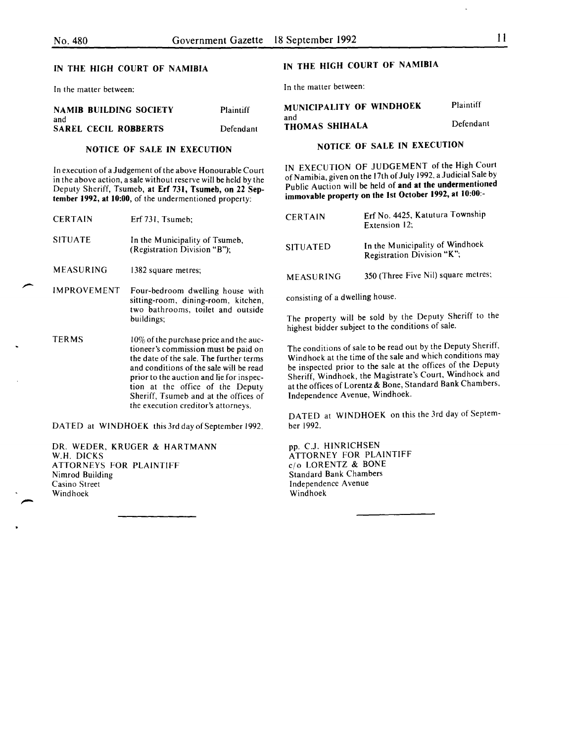In the matter between:

|     | <b>NAMIB BUILDING SOCIETY</b> | Plaintiff |
|-----|-------------------------------|-----------|
| and |                               |           |
|     | <b>SAREL CECIL ROBBERTS</b>   | Defendant |

#### NOTICE OF SALE IN EXECUTION

In execution of a Judgement of the above Honourable Court in the above action, a sale without reserve will be held by the Deputy Sheriff, Tsumeb, at Erf 731, Tsumeb, on 22 September 1992, at 10:00, of the undermentioned property:

| <b>CERTAIN</b> | Erf 731, Tsumeb;                                                                                                                                                                                                                                                                                 |
|----------------|--------------------------------------------------------------------------------------------------------------------------------------------------------------------------------------------------------------------------------------------------------------------------------------------------|
| <b>SITUATE</b> | In the Municipality of Tsumeb,<br>(Registration Division "B");                                                                                                                                                                                                                                   |
| MEASURING      | 1382 square metres;                                                                                                                                                                                                                                                                              |
| IMPROVEMENT    | Four-bedroom dwelling house with<br>sitting-room, dining-room, kitchen,<br>two bathrooms, toilet and outside<br>buildings;                                                                                                                                                                       |
| <b>TERMS</b>   | $10\%$ of the purchase price and the auc-<br>tioneer's commission must be paid on<br>the date of the sale. The further terms<br>and conditions of the sale will be read<br>prior to the auction and lie for inspec-<br>tion at the office of the Deputy<br>Sheriff, Tsumeb and at the offices of |

DATED at WINDHOEK this 3rd day of September 1992.

the execution creditor's attorneys.

DR. WEDER, KRUGER & HARTMANN W.H. DICKS ATTORNEYS FOR PLAINTIFF Nimrod Building Casino Street Windhoek

## IN THE HIGH COURT OF NAMIBIA

In the matter between:

| MUNICIPALITY OF WINDHOEK | Plaintiff |
|--------------------------|-----------|
| and<br>THOMAS SHIHALA    | Defendant |

## NOTICE OF SALE IN EXECUTION

IN EXECUTION OF JUDGEMENT of the High Court of Namibia, given on the 17th of July 1992, a Judicial Sale by Public Auction will be held of and at the undermentioned immovable property on the 1st October 1992, at 10:00:-

| <b>CERTAIN</b>   | Erf No. 4425, Katutura Township<br>Extension 12;              |
|------------------|---------------------------------------------------------------|
| <b>SITUATED</b>  | In the Municipality of Windhoek<br>Registration Division "K"; |
| <b>MEASURING</b> | 350 (Three Five Nil) square metres;                           |

consisting of a dwelling house.

The property will be sold by the Deputy Sheriff to the highest bidder subject to the conditions of sale.

The conditions of sale to be read out by the Deputy Sheriff, Windhoek at the time of the sale and which conditions may be inspected prior to the sale at the offices of the Deputy Sheriff, Windhoek, the Magistrate's Court, Windhoek and at the offices of Lorentz & Bone, Standard Bank Chambers, Independence Avenue, Windhoek.

DATED at WINDHOEK on this the 3rd day of September 1992.

pp. C.J. HINRICHSEN ATTORNEY FOR PLAINTIFF c(o LORENTZ & BONE Standard Bank Chambers Independence A venue Windhoek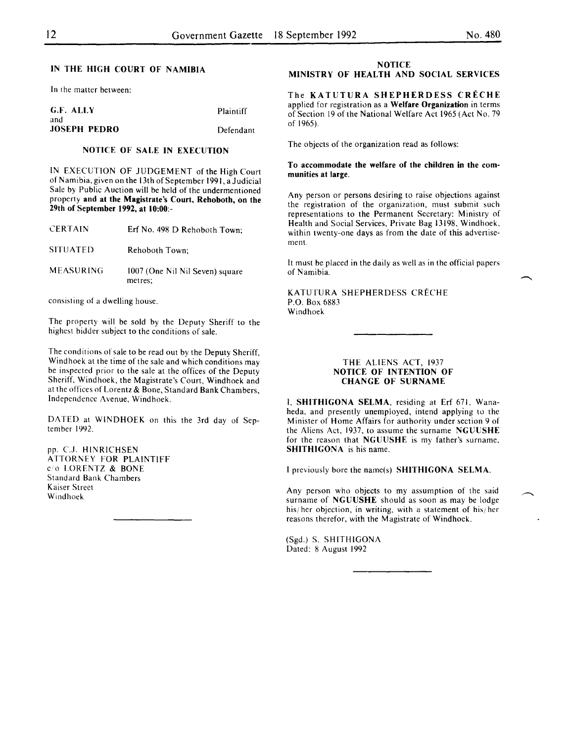In the matter between:

| G.F. ALLY           | Plaintiff |
|---------------------|-----------|
| and                 |           |
| <b>JOSEPH PEDRO</b> | Defendant |

## NOTICE OF SALE IN EXECUTION

IN EXECUTION OF JUDGEMENT of the High Court of Namibia, given on the 13th of September 1991, a Judicial Sale by Public Auction will be held of the undermentioned property and at the Magistrate's Court, Rehoboth, on the 29th of September 1992, at 10:00:-

| <b>CERTAIN</b>   | Erf No. 498 D Rehoboth Town;               |
|------------------|--------------------------------------------|
| <b>SITUATED</b>  | Rehoboth Town:                             |
| <b>MEASURING</b> | 1007 (One Nil Nil Seven) square<br>metres; |

consisting of a dwelling house.

The property will be sold by the Deputy Sheriff to the highest bidder subject to the conditions of sale.

The conditions of sale to be read out by the Deputy Sheriff, Windhoek at the time of the sale and which conditions may be inspected prior to the sale at the offices of the Deputy Sheriff, Windhoek, the Magistrate's Court, Windhoek and at the offices of Lorentz & Bone, Standard Bank Chambers, Independence Avenue, Windhoek.

DATED at WINDHOEK on this the 3rd day of September 1992.

pp. C.J. HINRICHSEN ATTORNEY FOR PLAINTIFF c/o LORENTZ & BONE Standard Bank Chambers Kaiser Street Windhoek

## **NOTICE**

## MINISTRY OF HEALTH AND SOCIAL SERVICES

The KATUTURA SHEPHERDESS CRECHE applied for registration as a Welfare Organization in terms of Section 19 of the National Welfare Act 1965 (Act No. 79 of 1965).

The objects of the organization read as follows:

#### To accommodate the welfare of the children in the communities at large.

Any person or persons desiring to raise objections against the registration of the organization, must submit such representations to the Permanent Secretary: Ministry of Health and Social Services, Private Bag 13198, Windhoek, within twenty-one days as from the date of this advertisement.

It must be placed in the daily as well as in the official papers of Namibia.

KATUTURA SHEPHERDESS CRECHE P.O. Box 6883 Windhoek

#### THE ALIENS ACT, 1937 NOTICE OF INTENTION OF CHANGE OF SURNAME

I, SHITHIGONA SELMA, residing at Erf 671, Wanaheda, and presently unemployed, intend applying to the Minister of Home Affairs for authority under section 9 of the Aliens Act. 1937, to assume the surname NGUUSHE for the reason that NGUUSHE is my father's surname. SHITHIGONA is his name.

I previously bore the name(s) SHITHIGONA SELMA.

Any person who objects to my assumption of the said surname of NGUUSHE should as soon as may be lodge his/her objection, in writing, with a statement of his/her reasons therefor, with the Magistrate of Windhoek.

(Sgd.) S. SHITHIGONA Dated: 8 August 1992